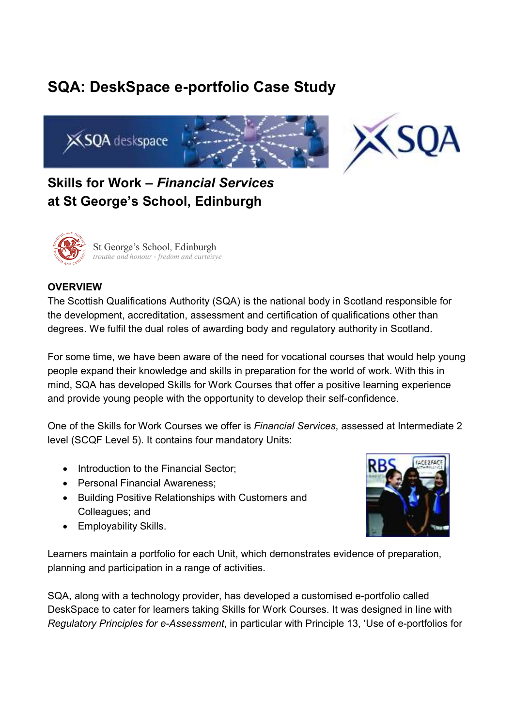# **SQA: DeskSpace e-portfolio Case Study**



## **Skills for Work –** *Financial Services* **at St George's School, Edinburgh**



#### **OVERVIEW**

The Scottish Qualifications Authority (SQA) is the national body in Scotland responsible for the development, accreditation, assessment and certification of qualifications other than degrees. We fulfil the dual roles of awarding body and regulatory authority in Scotland.

For some time, we have been aware of the need for vocational courses that would help young people expand their knowledge and skills in preparation for the world of work. With this in mind, SQA has developed Skills for Work Courses that offer a positive learning experience and provide young people with the opportunity to develop their self-confidence.

One of the Skills for Work Courses we offer is *Financial Services*, assessed at Intermediate 2 level (SCQF Level 5). It contains four mandatory Units:

- Introduction to the Financial Sector:
- Personal Financial Awareness;
- Building Positive Relationships with Customers and Colleagues; and
- Employability Skills.



Learners maintain a portfolio for each Unit, which demonstrates evidence of preparation, planning and participation in a range of activities.

SQA, along with a technology provider, has developed a customised e-portfolio called DeskSpace to cater for learners taking Skills for Work Courses. It was designed in line with *Regulatory Principles for e-Assessment*, in particular with Principle 13, 'Use of e-portfolios for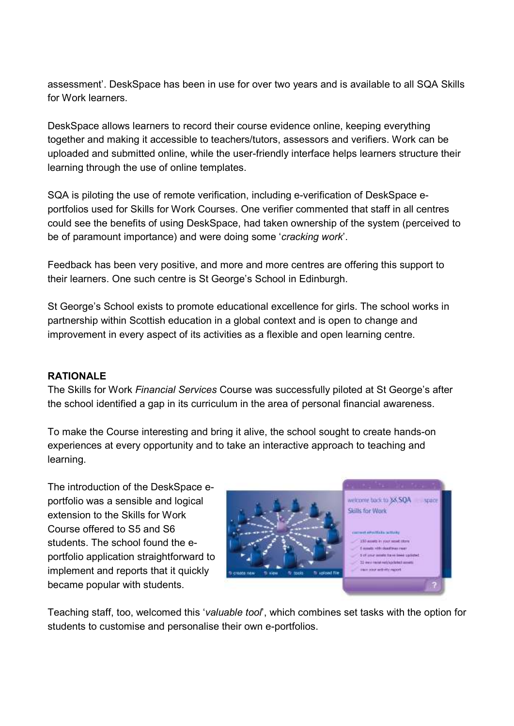assessment'. DeskSpace has been in use for over two years and is available to all SQA Skills for Work learners.

DeskSpace allows learners to record their course evidence online, keeping everything together and making it accessible to teachers/tutors, assessors and verifiers. Work can be uploaded and submitted online, while the user-friendly interface helps learners structure their learning through the use of online templates.

SQA is piloting the use of remote verification, including e-verification of DeskSpace eportfolios used for Skills for Work Courses. One verifier commented that staff in all centres could see the benefits of using DeskSpace, had taken ownership of the system (perceived to be of paramount importance) and were doing some '*cracking work*'.

Feedback has been very positive, and more and more centres are offering this support to their learners. One such centre is St George's School in Edinburgh.

St George's School exists to promote educational excellence for girls. The school works in partnership within Scottish education in a global context and is open to change and improvement in every aspect of its activities as a flexible and open learning centre.

### **RATIONALE**

The Skills for Work *Financial Services* Course was successfully piloted at St George's after the school identified a gap in its curriculum in the area of personal financial awareness.

To make the Course interesting and bring it alive, the school sought to create hands-on experiences at every opportunity and to take an interactive approach to teaching and learning.

The introduction of the DeskSpace eportfolio was a sensible and logical extension to the Skills for Work Course offered to S5 and S6 students. The school found the eportfolio application straightforward to implement and reports that it quickly became popular with students.



Teaching staff, too, welcomed this '*valuable tool*', which combines set tasks with the option for students to customise and personalise their own e-portfolios.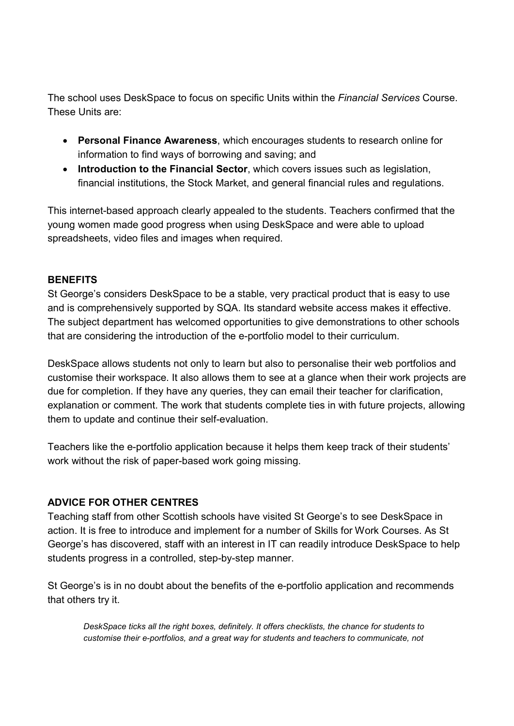The school uses DeskSpace to focus on specific Units within the *Financial Services* Course. These Units are:

- **Personal Finance Awareness**, which encourages students to research online for information to find ways of borrowing and saving; and
- **Introduction to the Financial Sector**, which covers issues such as legislation, financial institutions, the Stock Market, and general financial rules and regulations.

This internet-based approach clearly appealed to the students. Teachers confirmed that the young women made good progress when using DeskSpace and were able to upload spreadsheets, video files and images when required.

#### **BENEFITS**

St George's considers DeskSpace to be a stable, very practical product that is easy to use and is comprehensively supported by SQA. Its standard website access makes it effective. The subject department has welcomed opportunities to give demonstrations to other schools that are considering the introduction of the e-portfolio model to their curriculum.

DeskSpace allows students not only to learn but also to personalise their web portfolios and customise their workspace. It also allows them to see at a glance when their work projects are due for completion. If they have any queries, they can email their teacher for clarification, explanation or comment. The work that students complete ties in with future projects, allowing them to update and continue their self-evaluation.

Teachers like the e-portfolio application because it helps them keep track of their students' work without the risk of paper-based work going missing.

### **ADVICE FOR OTHER CENTRES**

Teaching staff from other Scottish schools have visited St George's to see DeskSpace in action. It is free to introduce and implement for a number of Skills for Work Courses. As St George's has discovered, staff with an interest in IT can readily introduce DeskSpace to help students progress in a controlled, step-by-step manner.

St George's is in no doubt about the benefits of the e-portfolio application and recommends that others try it.

*DeskSpace ticks all the right boxes, definitely. It offers checklists, the chance for students to customise their e-portfolios, and a great way for students and teachers to communicate, not*